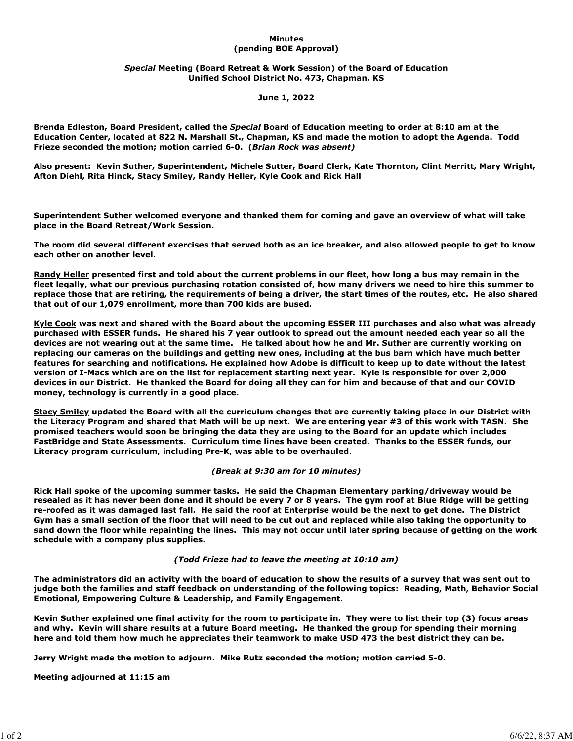### **Minutes (pending BOE Approval)**

# *Special* **Meeting (Board Retreat & Work Session) of the Board of Education Unified School District No. 473, Chapman, KS**

### **June 1, 2022**

**Brenda Edleston, Board President, called the** *Special* **Board of Education meeting to order at 8:10 am at the Education Center, located at 822 N. Marshall St., Chapman, KS and made the motion to adopt the Agenda. Todd Frieze seconded the motion; motion carried 6-0. (***Brian Rock was absent)*

**Also present: Kevin Suther, Superintendent, Michele Sutter, Board Clerk, Kate Thornton, Clint Merritt, Mary Wright, Afton Diehl, Rita Hinck, Stacy Smiley, Randy Heller, Kyle Cook and Rick Hall**

**Superintendent Suther welcomed everyone and thanked them for coming and gave an overview of what will take place in the Board Retreat/Work Session.**

**The room did several different exercises that served both as an ice breaker, and also allowed people to get to know each other on another level.** 

**Randy Heller presented first and told about the current problems in our fleet, how long a bus may remain in the fleet legally, what our previous purchasing rotation consisted of, how many drivers we need to hire this summer to replace those that are retiring, the requirements of being a driver, the start times of the routes, etc. He also shared that out of our 1,079 enrollment, more than 700 kids are bused.**

**Kyle Cook was next and shared with the Board about the upcoming ESSER III purchases and also what was already purchased with ESSER funds. He shared his 7 year outlook to spread out the amount needed each year so all the devices are not wearing out at the same time. He talked about how he and Mr. Suther are currently working on replacing our cameras on the buildings and getting new ones, including at the bus barn which have much better features for searching and notifications. He explained how Adobe is difficult to keep up to date without the latest version of I-Macs which are on the list for replacement starting next year. Kyle is responsible for over 2,000 devices in our District. He thanked the Board for doing all they can for him and because of that and our COVID money, technology is currently in a good place.**

**Stacy Smiley updated the Board with all the curriculum changes that are currently taking place in our District with the Literacy Program and shared that Math will be up next. We are entering year #3 of this work with TASN. She promised teachers would soon be bringing the data they are using to the Board for an update which includes FastBridge and State Assessments. Curriculum time lines have been created. Thanks to the ESSER funds, our Literacy program curriculum, including Pre-K, was able to be overhauled.** 

#### *(Break at 9:30 am for 10 minutes)*

**Rick Hall spoke of the upcoming summer tasks. He said the Chapman Elementary parking/driveway would be resealed as it has never been done and it should be every 7 or 8 years. The gym roof at Blue Ridge will be getting re-roofed as it was damaged last fall. He said the roof at Enterprise would be the next to get done. The District Gym has a small section of the floor that will need to be cut out and replaced while also taking the opportunity to sand down the floor while repainting the lines. This may not occur until later spring because of getting on the work schedule with a company plus supplies.** 

# *(Todd Frieze had to leave the meeting at 10:10 am)*

**The administrators did an activity with the board of education to show the results of a survey that was sent out to judge both the families and staff feedback on understanding of the following topics: Reading, Math, Behavior Social Emotional, Empowering Culture & Leadership, and Family Engagement.** 

**Kevin Suther explained one final activity for the room to participate in. They were to list their top (3) focus areas and why. Kevin will share results at a future Board meeting. He thanked the group for spending their morning here and told them how much he appreciates their teamwork to make USD 473 the best district they can be.**

**Jerry Wright made the motion to adjourn. Mike Rutz seconded the motion; motion carried 5-0.**

**Meeting adjourned at 11:15 am**